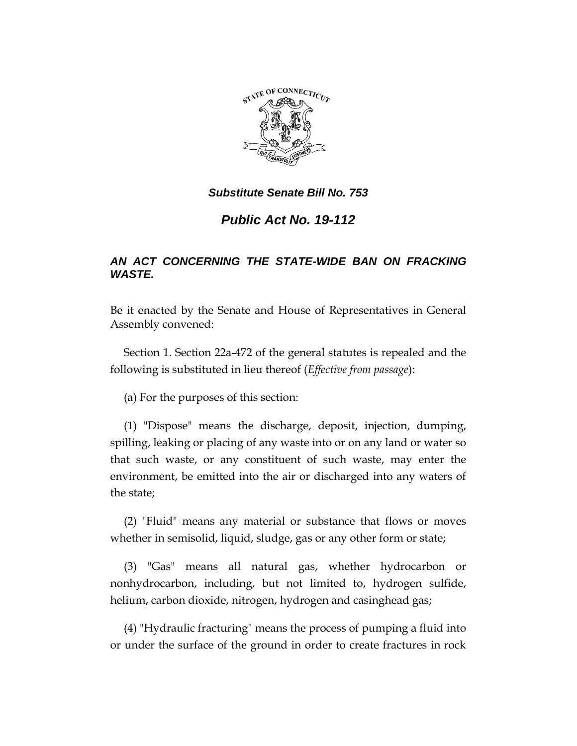

# *Public Act No. 19-112*

# *AN ACT CONCERNING THE STATE-WIDE BAN ON FRACKING WASTE.*

Be it enacted by the Senate and House of Representatives in General Assembly convened:

Section 1. Section 22a-472 of the general statutes is repealed and the following is substituted in lieu thereof (*Effective from passage*):

(a) For the purposes of this section:

(1) "Dispose" means the discharge, deposit, injection, dumping, spilling, leaking or placing of any waste into or on any land or water so that such waste, or any constituent of such waste, may enter the environment, be emitted into the air or discharged into any waters of the state;

(2) "Fluid" means any material or substance that flows or moves whether in semisolid, liquid, sludge, gas or any other form or state;

(3) "Gas" means all natural gas, whether hydrocarbon or nonhydrocarbon, including, but not limited to, hydrogen sulfide, helium, carbon dioxide, nitrogen, hydrogen and casinghead gas;

(4) "Hydraulic fracturing" means the process of pumping a fluid into or under the surface of the ground in order to create fractures in rock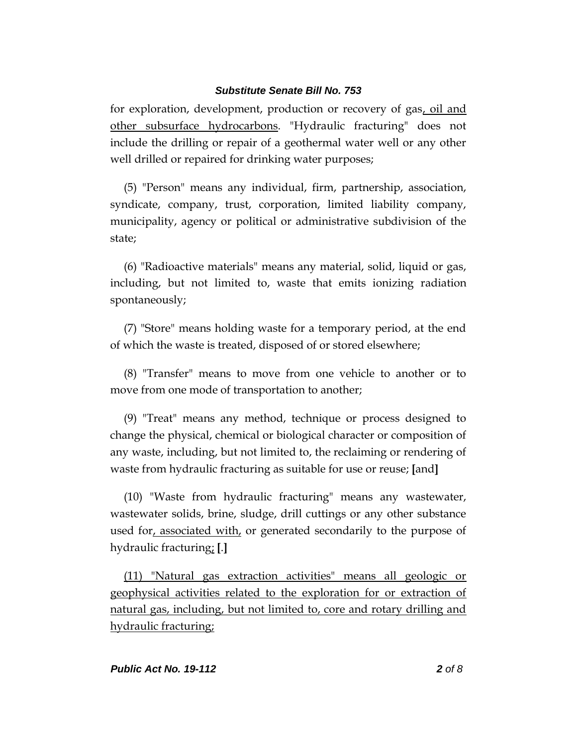for exploration, development, production or recovery of gas, oil and other subsurface hydrocarbons. "Hydraulic fracturing" does not include the drilling or repair of a geothermal water well or any other well drilled or repaired for drinking water purposes;

(5) "Person" means any individual, firm, partnership, association, syndicate, company, trust, corporation, limited liability company, municipality, agency or political or administrative subdivision of the state;

(6) "Radioactive materials" means any material, solid, liquid or gas, including, but not limited to, waste that emits ionizing radiation spontaneously;

(7) "Store" means holding waste for a temporary period, at the end of which the waste is treated, disposed of or stored elsewhere;

(8) "Transfer" means to move from one vehicle to another or to move from one mode of transportation to another;

(9) "Treat" means any method, technique or process designed to change the physical, chemical or biological character or composition of any waste, including, but not limited to, the reclaiming or rendering of waste from hydraulic fracturing as suitable for use or reuse; **[**and**]**

(10) "Waste from hydraulic fracturing" means any wastewater, wastewater solids, brine, sludge, drill cuttings or any other substance used for, associated with, or generated secondarily to the purpose of hydraulic fracturing; **[**.**]**

(11) "Natural gas extraction activities" means all geologic or geophysical activities related to the exploration for or extraction of natural gas, including, but not limited to, core and rotary drilling and hydraulic fracturing;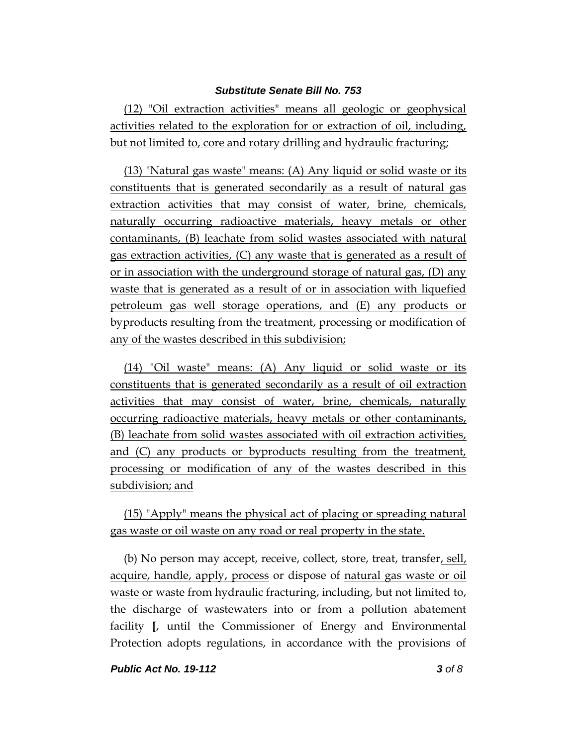(12) "Oil extraction activities" means all geologic or geophysical activities related to the exploration for or extraction of oil, including, but not limited to, core and rotary drilling and hydraulic fracturing;

(13) "Natural gas waste" means: (A) Any liquid or solid waste or its constituents that is generated secondarily as a result of natural gas extraction activities that may consist of water, brine, chemicals, naturally occurring radioactive materials, heavy metals or other contaminants, (B) leachate from solid wastes associated with natural gas extraction activities, (C) any waste that is generated as a result of or in association with the underground storage of natural gas, (D) any waste that is generated as a result of or in association with liquefied petroleum gas well storage operations, and (E) any products or byproducts resulting from the treatment, processing or modification of any of the wastes described in this subdivision;

(14) "Oil waste" means: (A) Any liquid or solid waste or its constituents that is generated secondarily as a result of oil extraction activities that may consist of water, brine, chemicals, naturally occurring radioactive materials, heavy metals or other contaminants, (B) leachate from solid wastes associated with oil extraction activities, and (C) any products or byproducts resulting from the treatment, processing or modification of any of the wastes described in this subdivision; and

(15) "Apply" means the physical act of placing or spreading natural gas waste or oil waste on any road or real property in the state.

(b) No person may accept, receive, collect, store, treat, transfer, sell, acquire, handle, apply, process or dispose of natural gas waste or oil waste or waste from hydraulic fracturing, including, but not limited to, the discharge of wastewaters into or from a pollution abatement facility **[**, until the Commissioner of Energy and Environmental Protection adopts regulations, in accordance with the provisions of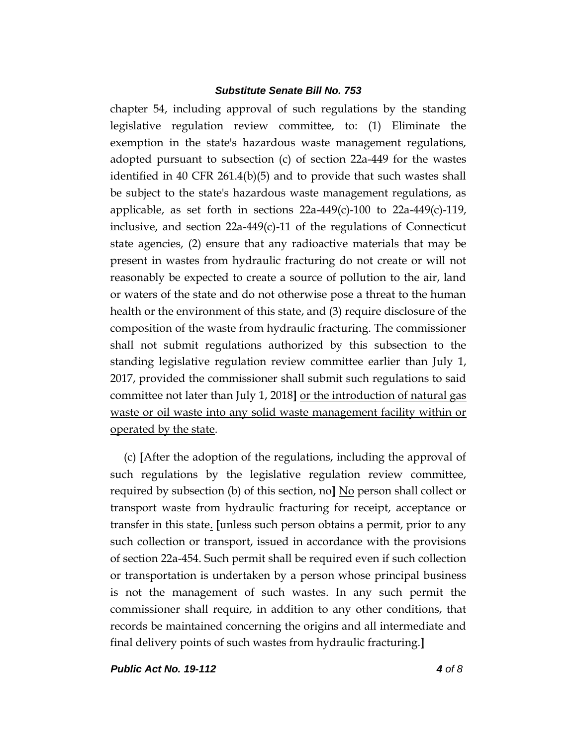chapter 54, including approval of such regulations by the standing legislative regulation review committee, to: (1) Eliminate the exemption in the state's hazardous waste management regulations, adopted pursuant to subsection (c) of section 22a-449 for the wastes identified in 40 CFR 261.4(b)(5) and to provide that such wastes shall be subject to the state's hazardous waste management regulations, as applicable, as set forth in sections  $22a-449(c)-100$  to  $22a-449(c)-119$ , inclusive, and section 22a-449(c)-11 of the regulations of Connecticut state agencies, (2) ensure that any radioactive materials that may be present in wastes from hydraulic fracturing do not create or will not reasonably be expected to create a source of pollution to the air, land or waters of the state and do not otherwise pose a threat to the human health or the environment of this state, and (3) require disclosure of the composition of the waste from hydraulic fracturing. The commissioner shall not submit regulations authorized by this subsection to the standing legislative regulation review committee earlier than July 1, 2017, provided the commissioner shall submit such regulations to said committee not later than July 1, 2018**]** or the introduction of natural gas waste or oil waste into any solid waste management facility within or operated by the state.

(c) **[**After the adoption of the regulations, including the approval of such regulations by the legislative regulation review committee, required by subsection (b) of this section, no**]** No person shall collect or transport waste from hydraulic fracturing for receipt, acceptance or transfer in this state. **[**unless such person obtains a permit, prior to any such collection or transport, issued in accordance with the provisions of section 22a-454. Such permit shall be required even if such collection or transportation is undertaken by a person whose principal business is not the management of such wastes. In any such permit the commissioner shall require, in addition to any other conditions, that records be maintained concerning the origins and all intermediate and final delivery points of such wastes from hydraulic fracturing.**]**

*Public Act No. 19-112 4 of 8*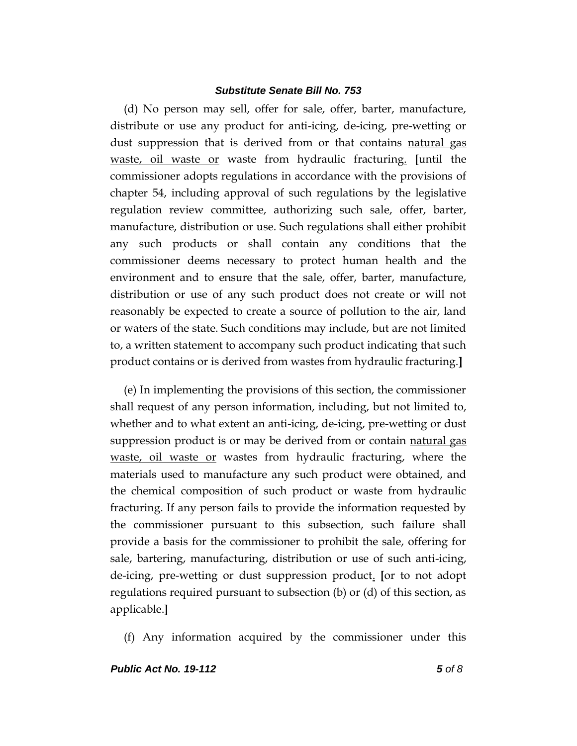(d) No person may sell, offer for sale, offer, barter, manufacture, distribute or use any product for anti-icing, de-icing, pre-wetting or dust suppression that is derived from or that contains <u>natural gas</u> waste, oil waste or waste from hydraulic fracturing. **[**until the commissioner adopts regulations in accordance with the provisions of chapter 54, including approval of such regulations by the legislative regulation review committee, authorizing such sale, offer, barter, manufacture, distribution or use. Such regulations shall either prohibit any such products or shall contain any conditions that the commissioner deems necessary to protect human health and the environment and to ensure that the sale, offer, barter, manufacture, distribution or use of any such product does not create or will not reasonably be expected to create a source of pollution to the air, land or waters of the state. Such conditions may include, but are not limited to, a written statement to accompany such product indicating that such product contains or is derived from wastes from hydraulic fracturing.**]**

(e) In implementing the provisions of this section, the commissioner shall request of any person information, including, but not limited to, whether and to what extent an anti-icing, de-icing, pre-wetting or dust suppression product is or may be derived from or contain natural gas waste, oil waste or wastes from hydraulic fracturing, where the materials used to manufacture any such product were obtained, and the chemical composition of such product or waste from hydraulic fracturing. If any person fails to provide the information requested by the commissioner pursuant to this subsection, such failure shall provide a basis for the commissioner to prohibit the sale, offering for sale, bartering, manufacturing, distribution or use of such anti-icing, de-icing, pre-wetting or dust suppression product. **[**or to not adopt regulations required pursuant to subsection (b) or (d) of this section, as applicable.**]**

(f) Any information acquired by the commissioner under this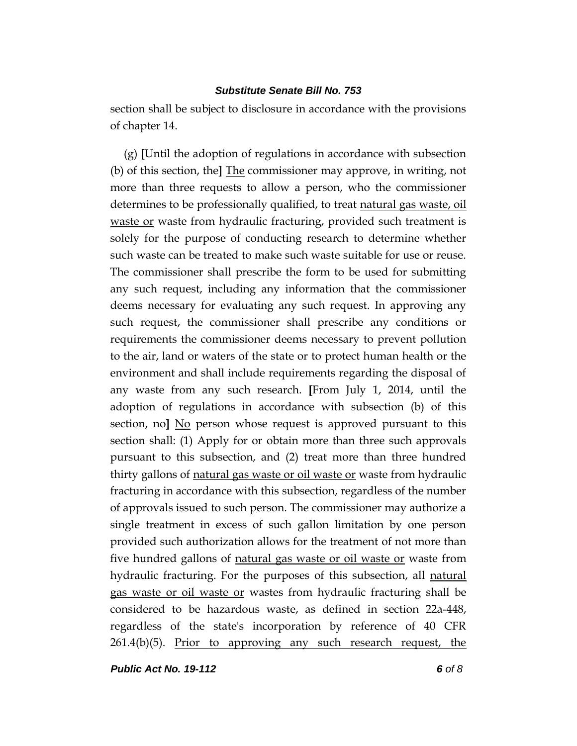section shall be subject to disclosure in accordance with the provisions of chapter 14.

(g) **[**Until the adoption of regulations in accordance with subsection (b) of this section, the**]** The commissioner may approve, in writing, not more than three requests to allow a person, who the commissioner determines to be professionally qualified, to treat natural gas waste, oil waste or waste from hydraulic fracturing, provided such treatment is solely for the purpose of conducting research to determine whether such waste can be treated to make such waste suitable for use or reuse. The commissioner shall prescribe the form to be used for submitting any such request, including any information that the commissioner deems necessary for evaluating any such request. In approving any such request, the commissioner shall prescribe any conditions or requirements the commissioner deems necessary to prevent pollution to the air, land or waters of the state or to protect human health or the environment and shall include requirements regarding the disposal of any waste from any such research. **[**From July 1, 2014, until the adoption of regulations in accordance with subsection (b) of this section, no**]** No person whose request is approved pursuant to this section shall: (1) Apply for or obtain more than three such approvals pursuant to this subsection, and (2) treat more than three hundred thirty gallons of natural gas waste or oil waste or waste from hydraulic fracturing in accordance with this subsection, regardless of the number of approvals issued to such person. The commissioner may authorize a single treatment in excess of such gallon limitation by one person provided such authorization allows for the treatment of not more than five hundred gallons of natural gas waste or oil waste or waste from hydraulic fracturing. For the purposes of this subsection, all natural gas waste or oil waste or wastes from hydraulic fracturing shall be considered to be hazardous waste, as defined in section 22a-448, regardless of the state's incorporation by reference of 40 CFR  $261.4(b)(5)$ . Prior to approving any such research request, the

*Public Act No. 19-112 6 of 8*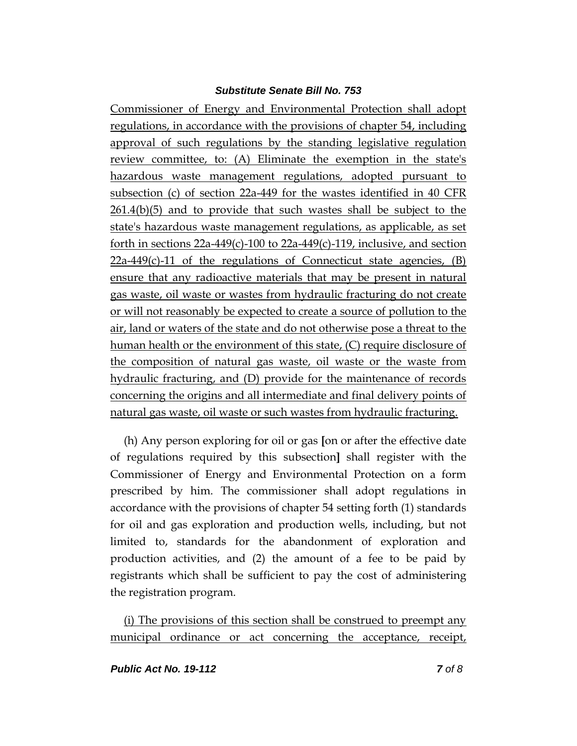Commissioner of Energy and Environmental Protection shall adopt regulations, in accordance with the provisions of chapter 54, including approval of such regulations by the standing legislative regulation review committee, to: (A) Eliminate the exemption in the state's hazardous waste management regulations, adopted pursuant to subsection (c) of section 22a-449 for the wastes identified in 40 CFR 261.4(b)(5) and to provide that such wastes shall be subject to the state's hazardous waste management regulations, as applicable, as set forth in sections  $22a-449(c)-100$  to  $22a-449(c)-119$ , inclusive, and section  $22a-449(c)-11$  of the regulations of Connecticut state agencies, (B) ensure that any radioactive materials that may be present in natural gas waste, oil waste or wastes from hydraulic fracturing do not create or will not reasonably be expected to create a source of pollution to the air, land or waters of the state and do not otherwise pose a threat to the human health or the environment of this state, (C) require disclosure of the composition of natural gas waste, oil waste or the waste from hydraulic fracturing, and (D) provide for the maintenance of records concerning the origins and all intermediate and final delivery points of natural gas waste, oil waste or such wastes from hydraulic fracturing.

(h) Any person exploring for oil or gas **[**on or after the effective date of regulations required by this subsection**]** shall register with the Commissioner of Energy and Environmental Protection on a form prescribed by him. The commissioner shall adopt regulations in accordance with the provisions of chapter 54 setting forth (1) standards for oil and gas exploration and production wells, including, but not limited to, standards for the abandonment of exploration and production activities, and (2) the amount of a fee to be paid by registrants which shall be sufficient to pay the cost of administering the registration program.

(i) The provisions of this section shall be construed to preempt any municipal ordinance or act concerning the acceptance, receipt,